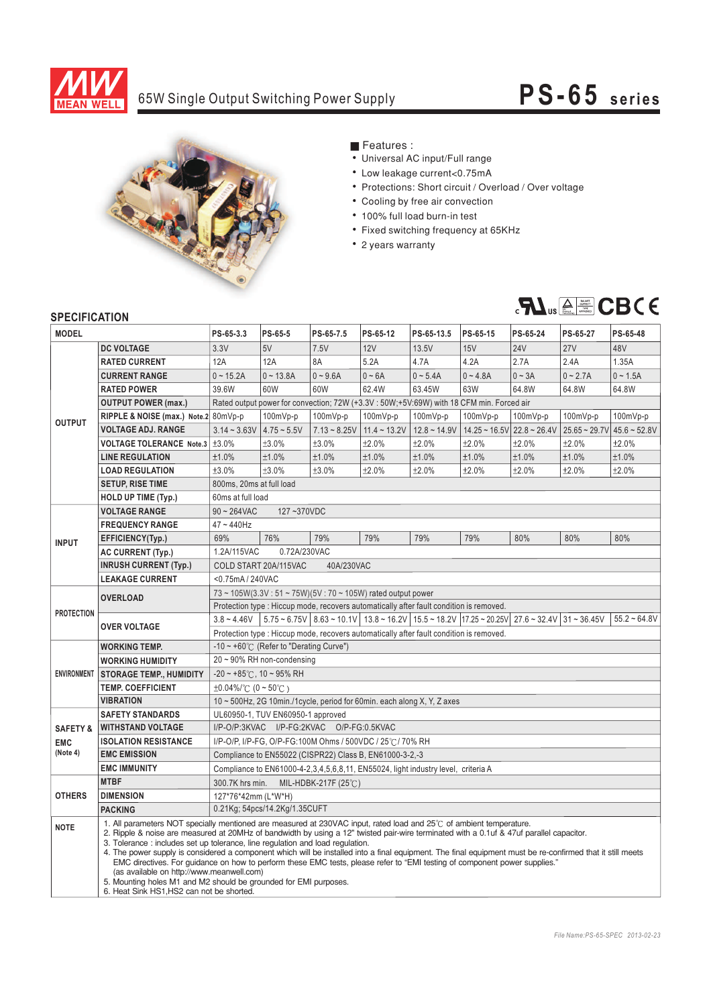

# 65W Single Output Switching Power Supply **PS-6 5 s e ri es**



## **Features :**

- Universal AC input/Full range
- Low leakage current<0.75mA
- Protections: Short circuit / Overload / Over voltage
- Cooling by free air convection
- ¡E¡E¡E¡E¡E¡E¡E 100% full load burn-in test
- Fixed switching frequency at 65KHz
- 2 years warranty



### **SPECIFICATION**

| יוטו ואטו ווטבו וט<br><b>MODEL</b> |                                                                                                                                                                                                                                                                                                                                                                                                                                                                                                                                                                                                                                                                                                                                                                                                             | PS-65-3.3                                                                                                                                                                                               | PS-65-5                                          | PS-65-7.5               | PS-65-12                | PS-65-13.5     | PS-65-15   | PS-65-24                                     | PS-65-27        | PS-65-48                |  |
|------------------------------------|-------------------------------------------------------------------------------------------------------------------------------------------------------------------------------------------------------------------------------------------------------------------------------------------------------------------------------------------------------------------------------------------------------------------------------------------------------------------------------------------------------------------------------------------------------------------------------------------------------------------------------------------------------------------------------------------------------------------------------------------------------------------------------------------------------------|---------------------------------------------------------------------------------------------------------------------------------------------------------------------------------------------------------|--------------------------------------------------|-------------------------|-------------------------|----------------|------------|----------------------------------------------|-----------------|-------------------------|--|
|                                    | <b>DC VOLTAGE</b>                                                                                                                                                                                                                                                                                                                                                                                                                                                                                                                                                                                                                                                                                                                                                                                           | 3.3V                                                                                                                                                                                                    | 5V                                               | 7.5V                    | 12V                     | 13.5V          | 15V        | <b>24V</b>                                   | 27V             | 48V                     |  |
| <b>OUTPUT</b>                      | <b>RATED CURRENT</b>                                                                                                                                                                                                                                                                                                                                                                                                                                                                                                                                                                                                                                                                                                                                                                                        | 12A                                                                                                                                                                                                     | 12A                                              | 8A                      | 5.2A                    | 4.7A           | 4.2A       | 2.7A                                         | 2.4A            | 1.35A                   |  |
|                                    | <b>CURRENT RANGE</b>                                                                                                                                                                                                                                                                                                                                                                                                                                                                                                                                                                                                                                                                                                                                                                                        | $0 - 15.2A$                                                                                                                                                                                             | $0 - 13.8A$                                      | $0 - 9.6A$              | $0 - 6A$                | $0 - 5.4A$     | $0 - 4.8A$ | $0 \sim 3A$                                  | $0 - 2.7A$      | $0 - 1.5A$              |  |
|                                    | <b>RATED POWER</b>                                                                                                                                                                                                                                                                                                                                                                                                                                                                                                                                                                                                                                                                                                                                                                                          | 39.6W                                                                                                                                                                                                   | 60W                                              | 60W                     | 62.4W                   | 63.45W         | 63W        | 64.8W                                        | 64.8W           | 64.8W                   |  |
|                                    | <b>OUTPUT POWER (max.)</b>                                                                                                                                                                                                                                                                                                                                                                                                                                                                                                                                                                                                                                                                                                                                                                                  |                                                                                                                                                                                                         |                                                  |                         |                         |                |            |                                              |                 |                         |  |
|                                    |                                                                                                                                                                                                                                                                                                                                                                                                                                                                                                                                                                                                                                                                                                                                                                                                             | Rated output power for convection; 72W (+3.3V : 50W;+5V:69W) with 18 CFM min. Forced air<br>100mVp-p<br>100mVp-p                                                                                        |                                                  |                         |                         |                |            |                                              |                 |                         |  |
|                                    | RIPPLE & NOISE (max.) Note.2 80mVp-p                                                                                                                                                                                                                                                                                                                                                                                                                                                                                                                                                                                                                                                                                                                                                                        |                                                                                                                                                                                                         |                                                  |                         | 100mVp-p                | 100mVp-p       | 100mVp-p   | 100mVp-p                                     | 100mVp-p        | 100mVp-p                |  |
|                                    | <b>VOLTAGE ADJ. RANGE</b>                                                                                                                                                                                                                                                                                                                                                                                                                                                                                                                                                                                                                                                                                                                                                                                   | $3.14 - 3.63V$                                                                                                                                                                                          | $4.75 - 5.5V$<br>±3.0%                           | $7.13 - 8.25V$<br>±3.0% | $11.4 - 13.2V$<br>±2.0% | $12.8 - 14.9V$ |            | $14.25 \approx 16.5$ V $22.8 \approx 26.4$ V | $25.65 - 29.7V$ | $45.6 - 52.8V$<br>±2.0% |  |
|                                    | VOLTAGE TOLERANCE Note.3   ±3.0%                                                                                                                                                                                                                                                                                                                                                                                                                                                                                                                                                                                                                                                                                                                                                                            | ±1.0%                                                                                                                                                                                                   |                                                  |                         |                         | ±2.0%          | ±2.0%      | ±2.0%                                        | ±2.0%           |                         |  |
|                                    | <b>LINE REGULATION</b>                                                                                                                                                                                                                                                                                                                                                                                                                                                                                                                                                                                                                                                                                                                                                                                      |                                                                                                                                                                                                         | ±1.0%                                            | ±1.0%                   | ±1.0%                   | ±1.0%          | ±1.0%      | ±1.0%                                        | ±1.0%           | ±1.0%                   |  |
|                                    | <b>LOAD REGULATION</b>                                                                                                                                                                                                                                                                                                                                                                                                                                                                                                                                                                                                                                                                                                                                                                                      | ±3.0%                                                                                                                                                                                                   | ±3.0%                                            | ±3.0%                   | ±2.0%                   | ±2.0%          | ±2.0%      | ±2.0%                                        | ±2.0%           | ±2.0%                   |  |
|                                    | <b>SETUP, RISE TIME</b>                                                                                                                                                                                                                                                                                                                                                                                                                                                                                                                                                                                                                                                                                                                                                                                     | 800ms, 20ms at full load                                                                                                                                                                                |                                                  |                         |                         |                |            |                                              |                 |                         |  |
|                                    | <b>HOLD UP TIME (Typ.)</b>                                                                                                                                                                                                                                                                                                                                                                                                                                                                                                                                                                                                                                                                                                                                                                                  | 60ms at full load                                                                                                                                                                                       |                                                  |                         |                         |                |            |                                              |                 |                         |  |
| <b>INPUT</b>                       | <b>VOLTAGE RANGE</b>                                                                                                                                                                                                                                                                                                                                                                                                                                                                                                                                                                                                                                                                                                                                                                                        | $90 - 264$ VAC<br>127~370VDC                                                                                                                                                                            |                                                  |                         |                         |                |            |                                              |                 |                         |  |
|                                    | <b>FREQUENCY RANGE</b>                                                                                                                                                                                                                                                                                                                                                                                                                                                                                                                                                                                                                                                                                                                                                                                      | 47~440Hz                                                                                                                                                                                                |                                                  |                         |                         |                |            |                                              |                 |                         |  |
|                                    | EFFICIENCY(Typ.)                                                                                                                                                                                                                                                                                                                                                                                                                                                                                                                                                                                                                                                                                                                                                                                            | 69%                                                                                                                                                                                                     | 76%                                              | 79%                     | 79%                     | 79%            | 79%        | 80%                                          | 80%             | 80%                     |  |
|                                    | <b>AC CURRENT (Typ.)</b>                                                                                                                                                                                                                                                                                                                                                                                                                                                                                                                                                                                                                                                                                                                                                                                    | 1.2A/115VAC<br>0.72A/230VAC                                                                                                                                                                             |                                                  |                         |                         |                |            |                                              |                 |                         |  |
|                                    | <b>INRUSH CURRENT (Typ.)</b>                                                                                                                                                                                                                                                                                                                                                                                                                                                                                                                                                                                                                                                                                                                                                                                | COLD START 20A/115VAC<br>40A/230VAC                                                                                                                                                                     |                                                  |                         |                         |                |            |                                              |                 |                         |  |
|                                    | <b>LEAKAGE CURRENT</b>                                                                                                                                                                                                                                                                                                                                                                                                                                                                                                                                                                                                                                                                                                                                                                                      | <0.75mA / 240VAC                                                                                                                                                                                        |                                                  |                         |                         |                |            |                                              |                 |                         |  |
| <b>PROTECTION</b>                  | <b>OVERLOAD</b>                                                                                                                                                                                                                                                                                                                                                                                                                                                                                                                                                                                                                                                                                                                                                                                             | $73 \sim 105W(3.3V: 51 \sim 75W)(5V: 70 \sim 105W)$ rated output power                                                                                                                                  |                                                  |                         |                         |                |            |                                              |                 |                         |  |
|                                    |                                                                                                                                                                                                                                                                                                                                                                                                                                                                                                                                                                                                                                                                                                                                                                                                             | Protection type : Hiccup mode, recovers automatically after fault condition is removed.                                                                                                                 |                                                  |                         |                         |                |            |                                              |                 |                         |  |
|                                    | <b>OVER VOLTAGE</b>                                                                                                                                                                                                                                                                                                                                                                                                                                                                                                                                                                                                                                                                                                                                                                                         | $5.75 \times 6.75V$ 8.63 ~ 10.1V 13.8 ~ 16.2V 15.5 ~ 18.2V 17.25 ~ 20.25V 27.6 ~ 32.4V 31 ~ 36.45V<br>$55.2 - 64.8V$<br>$3.8 - 4.46V$                                                                   |                                                  |                         |                         |                |            |                                              |                 |                         |  |
|                                    |                                                                                                                                                                                                                                                                                                                                                                                                                                                                                                                                                                                                                                                                                                                                                                                                             | Protection type : Hiccup mode, recovers automatically after fault condition is removed.                                                                                                                 |                                                  |                         |                         |                |            |                                              |                 |                         |  |
| <b>ENVIRONMENT</b>                 | <b>WORKING TEMP.</b>                                                                                                                                                                                                                                                                                                                                                                                                                                                                                                                                                                                                                                                                                                                                                                                        |                                                                                                                                                                                                         | -10 ~ +60° $\subset$ (Refer to "Derating Curve") |                         |                         |                |            |                                              |                 |                         |  |
|                                    | <b>WORKING HUMIDITY</b>                                                                                                                                                                                                                                                                                                                                                                                                                                                                                                                                                                                                                                                                                                                                                                                     | $20 \sim 90\%$ RH non-condensing                                                                                                                                                                        |                                                  |                         |                         |                |            |                                              |                 |                         |  |
|                                    | <b>STORAGE TEMP., HUMIDITY</b>                                                                                                                                                                                                                                                                                                                                                                                                                                                                                                                                                                                                                                                                                                                                                                              | $-20 \sim +85^{\circ}$ C, 10 ~ 95% RH                                                                                                                                                                   |                                                  |                         |                         |                |            |                                              |                 |                         |  |
|                                    | <b>TEMP. COEFFICIENT</b>                                                                                                                                                                                                                                                                                                                                                                                                                                                                                                                                                                                                                                                                                                                                                                                    | $\pm 0.04\%$ (0 ~ 50°C)                                                                                                                                                                                 |                                                  |                         |                         |                |            |                                              |                 |                         |  |
|                                    | <b>VIBRATION</b>                                                                                                                                                                                                                                                                                                                                                                                                                                                                                                                                                                                                                                                                                                                                                                                            | 10 ~ 500Hz, 2G 10min./1cycle, period for 60min. each along X, Y, Z axes                                                                                                                                 |                                                  |                         |                         |                |            |                                              |                 |                         |  |
|                                    | <b>SAFETY STANDARDS</b>                                                                                                                                                                                                                                                                                                                                                                                                                                                                                                                                                                                                                                                                                                                                                                                     | UL60950-1, TUV EN60950-1 approved<br>I/P-O/P:3KVAC I/P-FG:2KVAC O/P-FG:0.5KVAC<br>I/P-O/P, I/P-FG, O/P-FG:100M Ohms / 500VDC / 25°C / 70% RH<br>Compliance to EN55022 (CISPR22) Class B, EN61000-3-2,-3 |                                                  |                         |                         |                |            |                                              |                 |                         |  |
| <b>SAFETY &amp;</b>                | <b>WITHSTAND VOLTAGE</b>                                                                                                                                                                                                                                                                                                                                                                                                                                                                                                                                                                                                                                                                                                                                                                                    |                                                                                                                                                                                                         |                                                  |                         |                         |                |            |                                              |                 |                         |  |
| <b>EMC</b><br>(Note 4)             | <b>ISOLATION RESISTANCE</b>                                                                                                                                                                                                                                                                                                                                                                                                                                                                                                                                                                                                                                                                                                                                                                                 |                                                                                                                                                                                                         |                                                  |                         |                         |                |            |                                              |                 |                         |  |
|                                    | <b>EMC EMISSION</b>                                                                                                                                                                                                                                                                                                                                                                                                                                                                                                                                                                                                                                                                                                                                                                                         |                                                                                                                                                                                                         |                                                  |                         |                         |                |            |                                              |                 |                         |  |
|                                    | <b>EMC IMMUNITY</b><br>Compliance to EN61000-4-2,3,4,5,6,8,11, EN55024, light industry level, criteria A                                                                                                                                                                                                                                                                                                                                                                                                                                                                                                                                                                                                                                                                                                    |                                                                                                                                                                                                         |                                                  |                         |                         |                |            |                                              |                 |                         |  |
| <b>OTHERS</b>                      | <b>MTBF</b>                                                                                                                                                                                                                                                                                                                                                                                                                                                                                                                                                                                                                                                                                                                                                                                                 | 300.7K hrs min.<br>MIL-HDBK-217F (25 $°C$ )                                                                                                                                                             |                                                  |                         |                         |                |            |                                              |                 |                         |  |
|                                    | <b>DIMENSION</b>                                                                                                                                                                                                                                                                                                                                                                                                                                                                                                                                                                                                                                                                                                                                                                                            | 127*76*42mm (L*W*H)                                                                                                                                                                                     |                                                  |                         |                         |                |            |                                              |                 |                         |  |
|                                    | <b>PACKING</b>                                                                                                                                                                                                                                                                                                                                                                                                                                                                                                                                                                                                                                                                                                                                                                                              | 0.21Kg; 54pcs/14.2Kg/1.35CUFT                                                                                                                                                                           |                                                  |                         |                         |                |            |                                              |                 |                         |  |
| <b>NOTE</b>                        | 1. All parameters NOT specially mentioned are measured at 230VAC input, rated load and 25°C of ambient temperature.<br>2. Ripple & noise are measured at 20MHz of bandwidth by using a 12" twisted pair-wire terminated with a 0.1uf & 47uf parallel capacitor.<br>3. Tolerance : includes set up tolerance, line regulation and load regulation.<br>4. The power supply is considered a component which will be installed into a final equipment. The final equipment must be re-confirmed that it still meets<br>EMC directives. For guidance on how to perform these EMC tests, please refer to "EMI testing of component power supplies."<br>(as available on http://www.meanwell.com)<br>5. Mounting holes M1 and M2 should be grounded for EMI purposes.<br>6. Heat Sink HS1, HS2 can not be shorted. |                                                                                                                                                                                                         |                                                  |                         |                         |                |            |                                              |                 |                         |  |